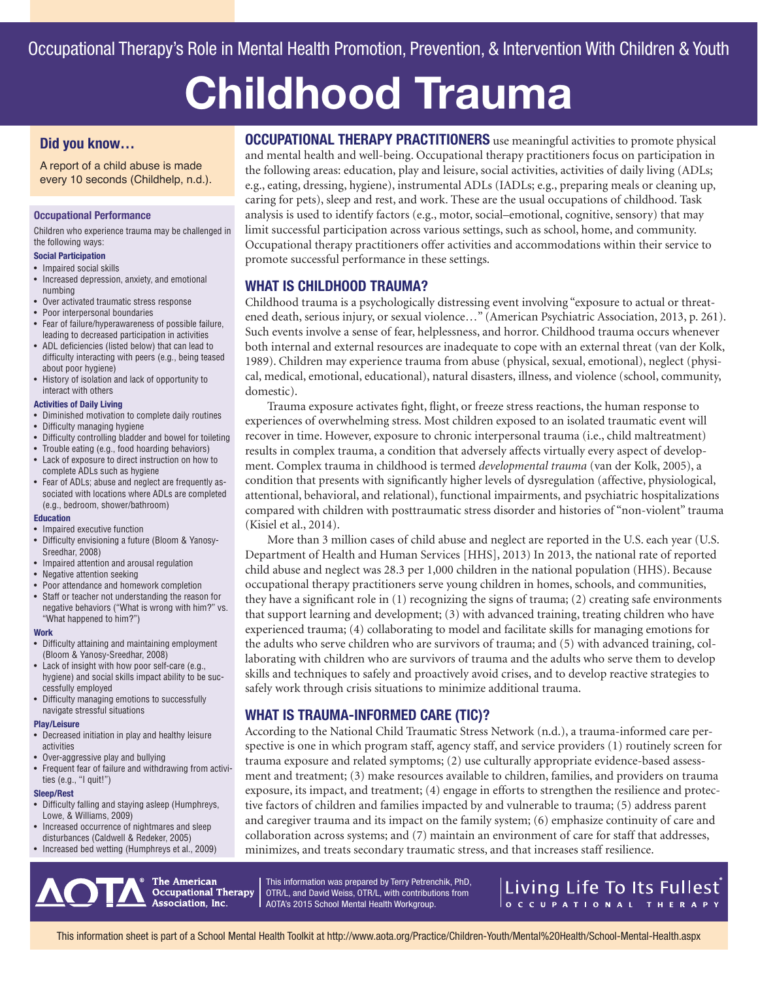# **Childhood Trauma**

#### **Did you know…**

A report of a child abuse is made every 10 seconds (Childhelp, n.d.).

#### **Occupational Performance**

Children who experience trauma may be challenged in the following ways:

#### **Social Participation**

- Impaired social skills
- Increased depression, anxiety, and emotional numbing
- Over activated traumatic stress response
- Poor interpersonal boundaries
- Fear of failure/hyperawareness of possible failure, leading to decreased participation in activities
- ADL deficiencies (listed below) that can lead to difficulty interacting with peers (e.g., being teased about poor hygiene)
- History of isolation and lack of opportunity to interact with others

#### **Activities of Daily Living**

- Diminished motivation to complete daily routines
- Difficulty managing hygiene
- Difficulty controlling bladder and bowel for toileting
- Trouble eating (e.g., food hoarding behaviors) • Lack of exposure to direct instruction on how to
- complete ADLs such as hygiene • Fear of ADLs; abuse and neglect are frequently as-
- sociated with locations where ADLs are completed (e.g., bedroom, shower/bathroom)

#### **Education**

- Impaired executive function
- Difficulty envisioning a future (Bloom & Yanosy-Sreedhar, 2008)
- Impaired attention and arousal regulation
- Negative attention seeking
- Poor attendance and homework completion
- Staff or teacher not understanding the reason for negative behaviors ("What is wrong with him?" vs. "What happened to him?")

#### **Work**

- Difficulty attaining and maintaining employment (Bloom & Yanosy-Sreedhar, 2008)
- Lack of insight with how poor self-care (e.g., hygiene) and social skills impact ability to be successfully employed
- Difficulty managing emotions to successfully navigate stressful situations

#### **Play/Leisure**

- Decreased initiation in play and healthy leisure activities
- Over-aggressive play and bullying
- Frequent fear of failure and withdrawing from activities (e.g., "I quit!")

#### **Sleep/Rest**

- Difficulty falling and staying asleep (Humphreys, Lowe, & Williams, 2009)
- Increased occurrence of nightmares and sleep disturbances (Caldwell & Redeker, 2005)
- Increased bed wetting (Humphreys et al., 2009)

**OCCUPATIONAL THERAPY PRACTITIONERS** use meaningful activities to promote physical and mental health and well-being. Occupational therapy practitioners focus on participation in the following areas: education, play and leisure, social activities, activities of daily living (ADLs; e.g., eating, dressing, hygiene), instrumental ADLs (IADLs; e.g., preparing meals or cleaning up, caring for pets), sleep and rest, and work. These are the usual occupations of childhood. Task analysis is used to identify factors (e.g., motor, social–emotional, cognitive, sensory) that may limit successful participation across various settings, such as school, home, and community. Occupational therapy practitioners offer activities and accommodations within their service to promote successful performance in these settings.

## **WHAT IS CHILDHOOD TRAUMA?**

Childhood trauma is a psychologically distressing event involving "exposure to actual or threatened death, serious injury, or sexual violence…" (American Psychiatric Association, 2013, p. 261). Such events involve a sense of fear, helplessness, and horror. Childhood trauma occurs whenever both internal and external resources are inadequate to cope with an external threat (van der Kolk, 1989). Children may experience trauma from abuse (physical, sexual, emotional), neglect (physical, medical, emotional, educational), natural disasters, illness, and violence (school, community, domestic).

Trauma exposure activates fight, flight, or freeze stress reactions, the human response to experiences of overwhelming stress. Most children exposed to an isolated traumatic event will recover in time. However, exposure to chronic interpersonal trauma (i.e., child maltreatment) results in complex trauma, a condition that adversely affects virtually every aspect of development. Complex trauma in childhood is termed *developmental trauma* (van der Kolk, 2005), a condition that presents with significantly higher levels of dysregulation (affective, physiological, attentional, behavioral, and relational), functional impairments, and psychiatric hospitalizations compared with children with posttraumatic stress disorder and histories of "non-violent" trauma (Kisiel et al., 2014).

More than 3 million cases of child abuse and neglect are reported in the U.S. each year (U.S. Department of Health and Human Services [HHS], 2013) In 2013, the national rate of reported child abuse and neglect was 28.3 per 1,000 children in the national population (HHS). Because occupational therapy practitioners serve young children in homes, schools, and communities, they have a significant role in (1) recognizing the signs of trauma; (2) creating safe environments that support learning and development; (3) with advanced training, treating children who have experienced trauma; (4) collaborating to model and facilitate skills for managing emotions for the adults who serve children who are survivors of trauma; and (5) with advanced training, collaborating with children who are survivors of trauma and the adults who serve them to develop skills and techniques to safely and proactively avoid crises, and to develop reactive strategies to safely work through crisis situations to minimize additional trauma.

## **WHAT IS TRAUMA-INFORMED CARE (TIC)?**

According to the National Child Traumatic Stress Network (n.d.), a trauma-informed care perspective is one in which program staff, agency staff, and service providers (1) routinely screen for trauma exposure and related symptoms; (2) use culturally appropriate evidence-based assessment and treatment; (3) make resources available to children, families, and providers on trauma exposure, its impact, and treatment; (4) engage in efforts to strengthen the resilience and protective factors of children and families impacted by and vulnerable to trauma; (5) address parent and caregiver trauma and its impact on the family system; (6) emphasize continuity of care and collaboration across systems; and (7) maintain an environment of care for staff that addresses, minimizes, and treats secondary traumatic stress, and that increases staff resilience.

The American **Occupational Therapy** Association, Inc.

This information was prepared by Terry Petrenchik, PhD, OTR/L, and David Weiss, OTR/L, with contributions from AOTA's 2015 School Mental Health Workgroup.

## Living Life To Its Fullest O C C U P A T | O N A L T H E R A P Y

This information sheet is part of a School Mental Health Toolkit at http://www.aota.org/Practice/Children-Youth/Mental%20Health/School-Mental-Health.aspx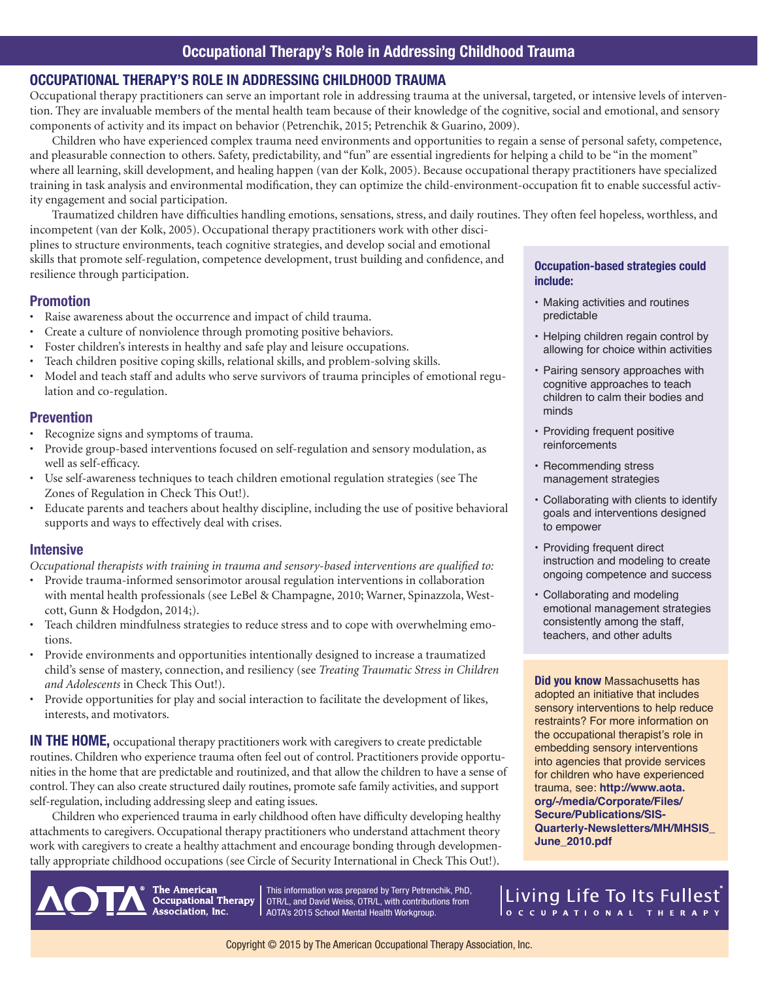## **OCCUPATIONAL THERAPY'S ROLE IN ADDRESSING CHILDHOOD TRAUMA**

Occupational therapy practitioners can serve an important role in addressing trauma at the universal, targeted, or intensive levels of intervention. They are invaluable members of the mental health team because of their knowledge of the cognitive, social and emotional, and sensory components of activity and its impact on behavior (Petrenchik, 2015; Petrenchik & Guarino, 2009).

Children who have experienced complex trauma need environments and opportunities to regain a sense of personal safety, competence, and pleasurable connection to others. Safety, predictability, and "fun" are essential ingredients for helping a child to be "in the moment" where all learning, skill development, and healing happen (van der Kolk, 2005). Because occupational therapy practitioners have specialized training in task analysis and environmental modification, they can optimize the child-environment-occupation fit to enable successful activity engagement and social participation.

Traumatized children have difficulties handling emotions, sensations, stress, and daily routines. They often feel hopeless, worthless, and incompetent (van der Kolk, 2005). Occupational therapy practitioners work with other disci-

plines to structure environments, teach cognitive strategies, and develop social and emotional skills that promote self-regulation, competence development, trust building and confidence, and resilience through participation.

## **Promotion**

- Raise awareness about the occurrence and impact of child trauma.
- Create a culture of nonviolence through promoting positive behaviors.
- Foster children's interests in healthy and safe play and leisure occupations.
- Teach children positive coping skills, relational skills, and problem-solving skills.
- Model and teach staff and adults who serve survivors of trauma principles of emotional regulation and co-regulation.

## **Prevention**

- Recognize signs and symptoms of trauma.
- Provide group-based interventions focused on self-regulation and sensory modulation, as well as self-efficacy.
- Use self-awareness techniques to teach children emotional regulation strategies (see The Zones of Regulation in Check This Out!).
- Educate parents and teachers about healthy discipline, including the use of positive behavioral supports and ways to effectively deal with crises.

## **Intensive**

*Occupational therapists with training in trauma and sensory-based interventions are qualified to:* 

- Provide trauma-informed sensorimotor arousal regulation interventions in collaboration with mental health professionals (see LeBel & Champagne, 2010; Warner, Spinazzola, Westcott, Gunn & Hodgdon, 2014;).
- Teach children mindfulness strategies to reduce stress and to cope with overwhelming emotions.
- Provide environments and opportunities intentionally designed to increase a traumatized child's sense of mastery, connection, and resiliency (see *Treating Traumatic Stress in Children and Adolescents* in Check This Out!).
- Provide opportunities for play and social interaction to facilitate the development of likes, interests, and motivators.

**IN THE HOME,** occupational therapy practitioners work with caregivers to create predictable routines. Children who experience trauma often feel out of control. Practitioners provide opportunities in the home that are predictable and routinized, and that allow the children to have a sense of control. They can also create structured daily routines, promote safe family activities, and support self-regulation, including addressing sleep and eating issues.

Children who experienced trauma in early childhood often have difficulty developing healthy attachments to caregivers. Occupational therapy practitioners who understand attachment theory work with caregivers to create a healthy attachment and encourage bonding through developmentally appropriate childhood occupations (see Circle of Security International in Check This Out!).

> **The American Occupational Therapy** Association, Inc.

This information was prepared by Terry Petrenchik, PhD, OTR/L, and David Weiss, OTR/L, with contributions from AOTA's 2015 School Mental Health Workgroup.

#### **Occupation-based strategies could include:**

- Making activities and routines predictable
- Helping children regain control by allowing for choice within activities
- Pairing sensory approaches with cognitive approaches to teach children to calm their bodies and minds
- Providing frequent positive reinforcements
- Recommending stress management strategies
- Collaborating with clients to identify goals and interventions designed to empower
- Providing frequent direct instruction and modeling to create ongoing competence and success
- Collaborating and modeling emotional management strategies consistently among the staff, teachers, and other adults

**Did you know** Massachusetts has adopted an initiative that includes sensory interventions to help reduce restraints? For more information on the occupational therapist's role in embedding sensory interventions into agencies that provide services for children who have experienced trauma, see: **http://www.aota. org/-/media/Corporate/Files/ Secure/Publications/SIS-Quarterly-Newsletters/MH/MHSIS\_ June\_2010.pdf**

Eiving Life To Its Fullest)<br>|occupational THERAPY

Copyright © 2015 by The American Occupational Therapy Association, Inc.